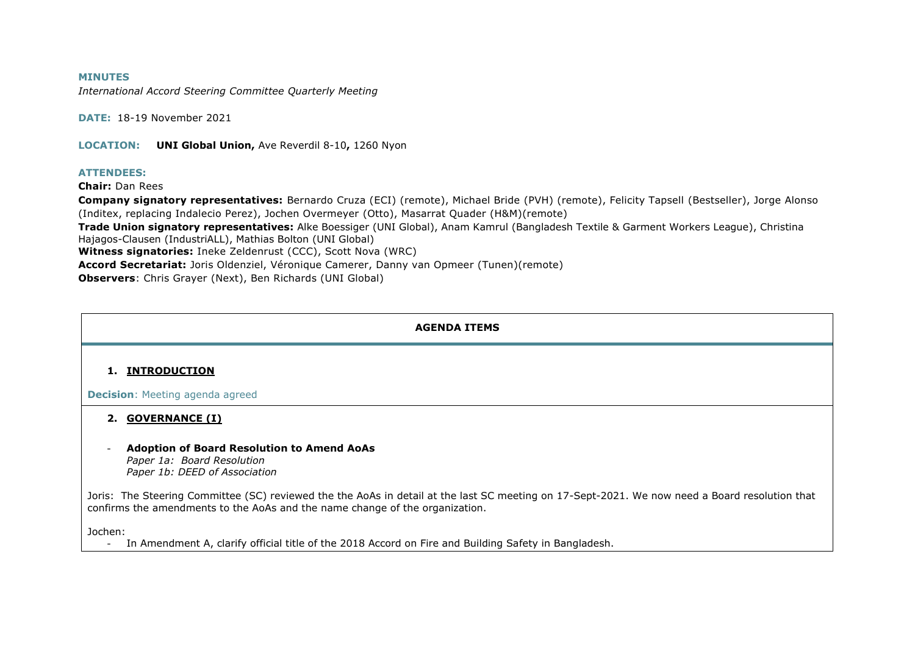#### **MINUTES**

*International Accord Steering Committee Quarterly Meeting*

**DATE:** 18-19 November 2021

**LOCATION: UNI Global Union,** Ave Reverdil 8-10**,** 1260 Nyon

#### **ATTENDEES:**

**Chair:** Dan Rees

**Company signatory representatives:** Bernardo Cruza (ECI) (remote), Michael Bride (PVH) (remote), Felicity Tapsell (Bestseller), Jorge Alonso (Inditex, replacing Indalecio Perez), Jochen Overmeyer (Otto), Masarrat Quader (H&M)(remote)

**Trade Union signatory representatives:** Alke Boessiger (UNI Global), Anam Kamrul (Bangladesh Textile & Garment Workers League), Christina Hajagos-Clausen (IndustriALL), Mathias Bolton (UNI Global)

**Witness signatories:** Ineke Zeldenrust (CCC), Scott Nova (WRC)

**Accord Secretariat:** Joris Oldenziel, Véronique Camerer, Danny van Opmeer (Tunen)(remote)

**Observers**: Chris Grayer (Next), Ben Richards (UNI Global)

### **AGENDA ITEMS**

#### **1. INTRODUCTION**

**Decision**: Meeting agenda agreed

### **2. GOVERNANCE (I)**

- **Adoption of Board Resolution to Amend AoAs** *Paper 1a: Board Resolution Paper 1b: DEED of Association*

Joris: The Steering Committee (SC) reviewed the the AoAs in detail at the last SC meeting on 17-Sept-2021. We now need a Board resolution that confirms the amendments to the AoAs and the name change of the organization.

Jochen:

- In Amendment A, clarify official title of the 2018 Accord on Fire and Building Safety in Bangladesh.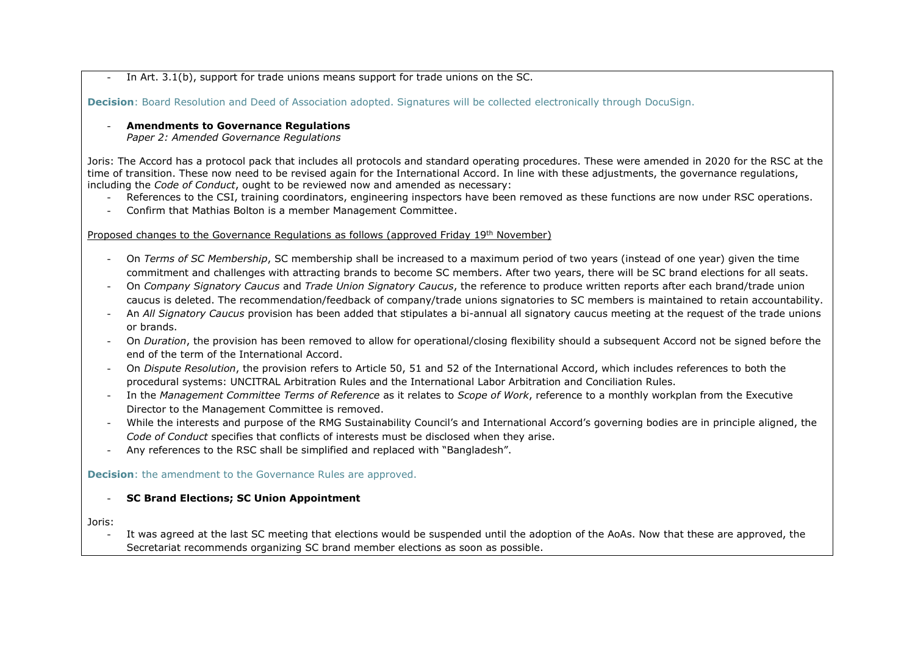In Art.  $3.1(b)$ , support for trade unions means support for trade unions on the SC.

**Decision**: Board Resolution and Deed of Association adopted. Signatures will be collected electronically through DocuSign.

## - **Amendments to Governance Regulations**

*Paper 2: Amended Governance Regulations*

Joris: The Accord has a protocol pack that includes all protocols and standard operating procedures. These were amended in 2020 for the RSC at the time of transition. These now need to be revised again for the International Accord. In line with these adjustments, the governance regulations, including the *Code of Conduct*, ought to be reviewed now and amended as necessary:

- References to the CSI, training coordinators, engineering inspectors have been removed as these functions are now under RSC operations.
- Confirm that Mathias Bolton is a member Management Committee.

### Proposed changes to the Governance Regulations as follows (approved Friday 19th November)

- On *Terms of SC Membership*, SC membership shall be increased to a maximum period of two years (instead of one year) given the time commitment and challenges with attracting brands to become SC members. After two years, there will be SC brand elections for all seats.
- On *Company Signatory Caucus* and *Trade Union Signatory Caucus*, the reference to produce written reports after each brand/trade union caucus is deleted. The recommendation/feedback of company/trade unions signatories to SC members is maintained to retain accountability.
- An *All Signatory Caucus* provision has been added that stipulates a bi-annual all signatory caucus meeting at the request of the trade unions or brands.
- On *Duration*, the provision has been removed to allow for operational/closing flexibility should a subsequent Accord not be signed before the end of the term of the International Accord.
- On *Dispute Resolution*, the provision refers to Article 50, 51 and 52 of the International Accord, which includes references to both the procedural systems: UNCITRAL Arbitration Rules and the International Labor Arbitration and Conciliation Rules.
- In the *Management Committee Terms of Reference* as it relates to *Scope of Work*, reference to a monthly workplan from the Executive Director to the Management Committee is removed.
- While the interests and purpose of the RMG Sustainability Council's and International Accord's governing bodies are in principle aligned, the *Code of Conduct* specifies that conflicts of interests must be disclosed when they arise.
- Any references to the RSC shall be simplified and replaced with "Bangladesh".

**Decision:** the amendment to the Governance Rules are approved.

### - **SC Brand Elections; SC Union Appointment**

Joris:

It was agreed at the last SC meeting that elections would be suspended until the adoption of the AoAs. Now that these are approved, the Secretariat recommends organizing SC brand member elections as soon as possible.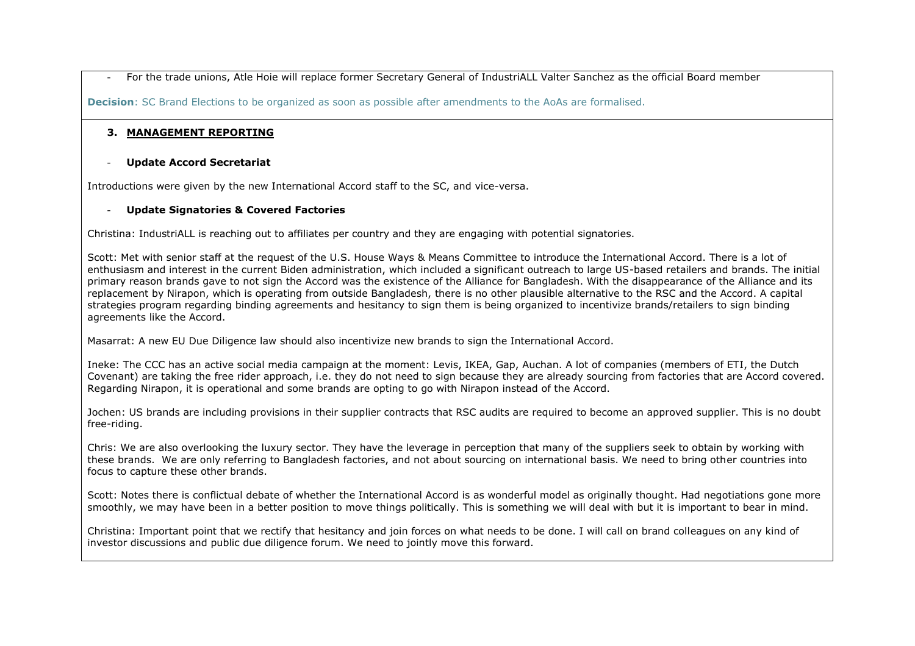- For the trade unions, Atle Hoie will replace former Secretary General of IndustriALL Valter Sanchez as the official Board member

**Decision:** SC Brand Elections to be organized as soon as possible after amendments to the AoAs are formalised.

## **3. MANAGEMENT REPORTING**

### - **Update Accord Secretariat**

Introductions were given by the new International Accord staff to the SC, and vice-versa.

### - **Update Signatories & Covered Factories**

Christina: IndustriALL is reaching out to affiliates per country and they are engaging with potential signatories.

Scott: Met with senior staff at the request of the U.S. House Ways & Means Committee to introduce the International Accord. There is a lot of enthusiasm and interest in the current Biden administration, which included a significant outreach to large US-based retailers and brands. The initial primary reason brands gave to not sign the Accord was the existence of the Alliance for Bangladesh. With the disappearance of the Alliance and its replacement by Nirapon, which is operating from outside Bangladesh, there is no other plausible alternative to the RSC and the Accord. A capital strategies program regarding binding agreements and hesitancy to sign them is being organized to incentivize brands/retailers to sign binding agreements like the Accord.

Masarrat: A new EU Due Diligence law should also incentivize new brands to sign the International Accord.

Ineke: The CCC has an active social media campaign at the moment: Levis, IKEA, Gap, Auchan. A lot of companies (members of ETI, the Dutch Covenant) are taking the free rider approach, i.e. they do not need to sign because they are already sourcing from factories that are Accord covered. Regarding Nirapon, it is operational and some brands are opting to go with Nirapon instead of the Accord.

Jochen: US brands are including provisions in their supplier contracts that RSC audits are required to become an approved supplier. This is no doubt free-riding.

Chris: We are also overlooking the luxury sector. They have the leverage in perception that many of the suppliers seek to obtain by working with these brands. We are only referring to Bangladesh factories, and not about sourcing on international basis. We need to bring other countries into focus to capture these other brands.

Scott: Notes there is conflictual debate of whether the International Accord is as wonderful model as originally thought. Had negotiations gone more smoothly, we may have been in a better position to move things politically. This is something we will deal with but it is important to bear in mind.

Christina: Important point that we rectify that hesitancy and join forces on what needs to be done. I will call on brand colleagues on any kind of investor discussions and public due diligence forum. We need to jointly move this forward.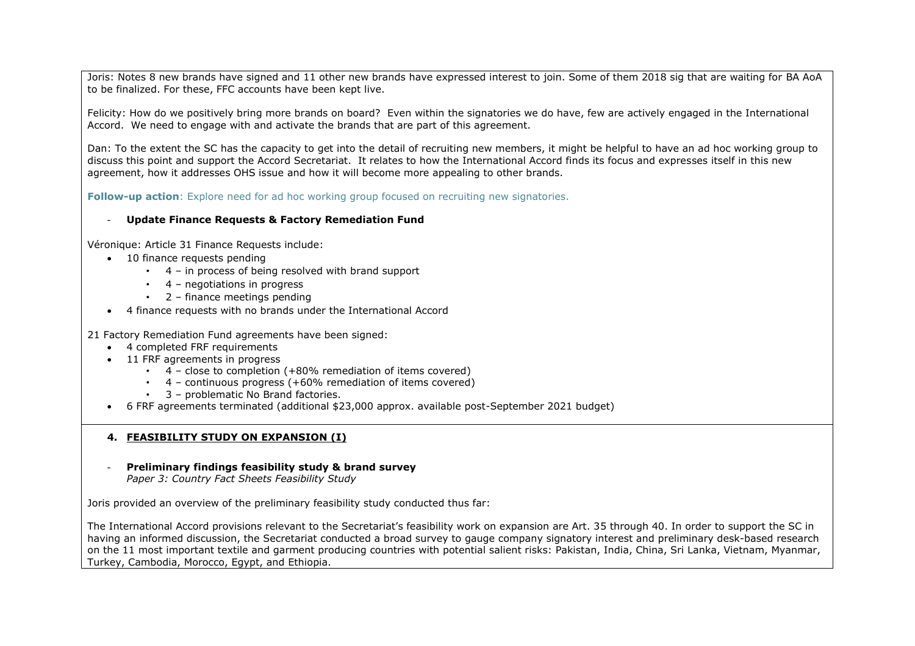Joris: Notes 8 new brands have signed and 11 other new brands have expressed interest to join. Some of them 2018 sig that are waiting for BA AoA to be finalized. For these, FFC accounts have been kept live.

Felicity: How do we positively bring more brands on board? Even within the signatories we do have, few are actively engaged in the International Accord. We need to engage with and activate the brands that are part of this agreement.

Dan: To the extent the SC has the capacity to get into the detail of recruiting new members, it might be helpful to have an ad hoc working group to discuss this point and support the Accord Secretariat. It relates to how the International Accord finds its focus and expresses itself in this new agreement, how it addresses OHS issue and how it will become more appealing to other brands.

**Follow-up action**: Explore need for ad hoc working group focused on recruiting new signatories.

### - **Update Finance Requests & Factory Remediation Fund**

Véronique: Article 31 Finance Requests include:

- 10 finance requests pending
	- 4 in process of being resolved with brand support
	- $\cdot$  4 negotiations in progress
	- 2 finance meetings pending
- 4 finance requests with no brands under the International Accord

21 Factory Remediation Fund agreements have been signed:

- 4 completed FRF requirements
- 11 FRF agreements in progress
	- $\cdot$  4 close to completion (+80% remediation of items covered)
	- 4 continuous progress (+60% remediation of items covered)
	- 3 problematic No Brand factories.
- 6 FRF agreements terminated (additional \$23,000 approx. available post-September 2021 budget)

## **4. FEASIBILITY STUDY ON EXPANSION (I)**

- **Preliminary findings feasibility study & brand survey**

*Paper 3: Country Fact Sheets Feasibility Study*

Joris provided an overview of the preliminary feasibility study conducted thus far:

The International Accord provisions relevant to the Secretariat's feasibility work on expansion are Art. 35 through 40. In order to support the SC in having an informed discussion, the Secretariat conducted a broad survey to gauge company signatory interest and preliminary desk-based research on the 11 most important textile and garment producing countries with potential salient risks: Pakistan, India, China, Sri Lanka, Vietnam, Myanmar, Turkey, Cambodia, Morocco, Egypt, and Ethiopia.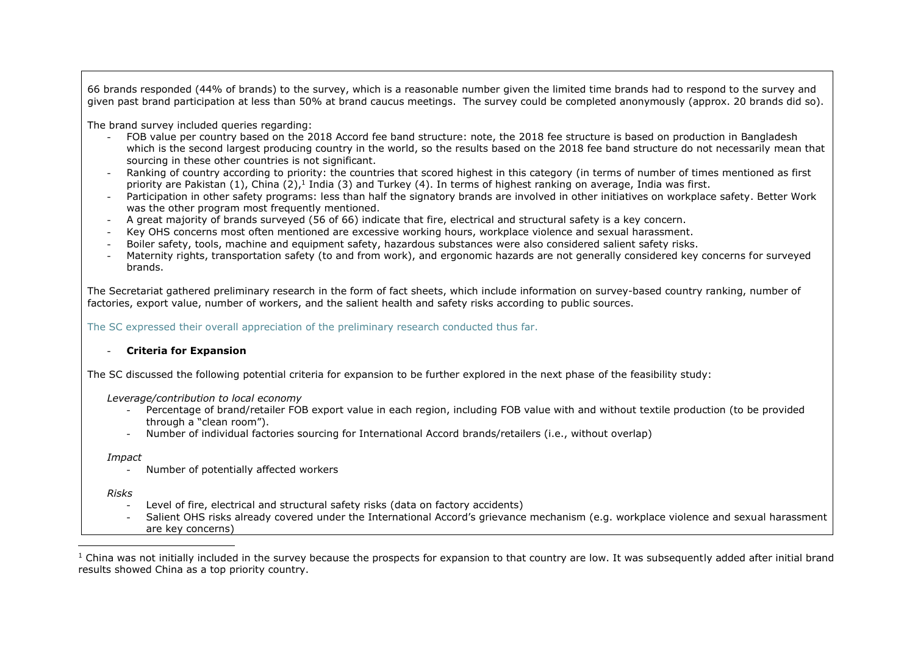66 brands responded (44% of brands) to the survey, which is a reasonable number given the limited time brands had to respond to the survey and given past brand participation at less than 50% at brand caucus meetings. The survey could be completed anonymously (approx. 20 brands did so).

The brand survey included queries regarding:

- FOB value per country based on the 2018 Accord fee band structure: note, the 2018 fee structure is based on production in Bangladesh which is the second largest producing country in the world, so the results based on the 2018 fee band structure do not necessarily mean that sourcing in these other countries is not significant.
- Ranking of country according to priority: the countries that scored highest in this category (in terms of number of times mentioned as first priority are Pakistan (1), China (2),<sup>1</sup> India (3) and Turkey (4). In terms of highest ranking on average, India was first.
- Participation in other safety programs: less than half the signatory brands are involved in other initiatives on workplace safety. Better Work was the other program most frequently mentioned.
- A great majority of brands surveyed (56 of 66) indicate that fire, electrical and structural safety is a key concern.
- Key OHS concerns most often mentioned are excessive working hours, workplace violence and sexual harassment.
- Boiler safety, tools, machine and equipment safety, hazardous substances were also considered salient safety risks.
- Maternity rights, transportation safety (to and from work), and ergonomic hazards are not generally considered key concerns for surveyed brands.

The Secretariat gathered preliminary research in the form of fact sheets, which include information on survey-based country ranking, number of factories, export value, number of workers, and the salient health and safety risks according to public sources.

The SC expressed their overall appreciation of the preliminary research conducted thus far.

### - **Criteria for Expansion**

The SC discussed the following potential criteria for expansion to be further explored in the next phase of the feasibility study:

#### *Leverage/contribution to local economy*

- Percentage of brand/retailer FOB export value in each region, including FOB value with and without textile production (to be provided through a "clean room").
- Number of individual factories sourcing for International Accord brands/retailers (i.e., without overlap)

*Impact*

- Number of potentially affected workers

*Risks*

- Level of fire, electrical and structural safety risks (data on factory accidents)
- Salient OHS risks already covered under the International Accord's grievance mechanism (e.g. workplace violence and sexual harassment are key concerns)

 $1$  China was not initially included in the survey because the prospects for expansion to that country are low. It was subsequently added after initial brand results showed China as a top priority country.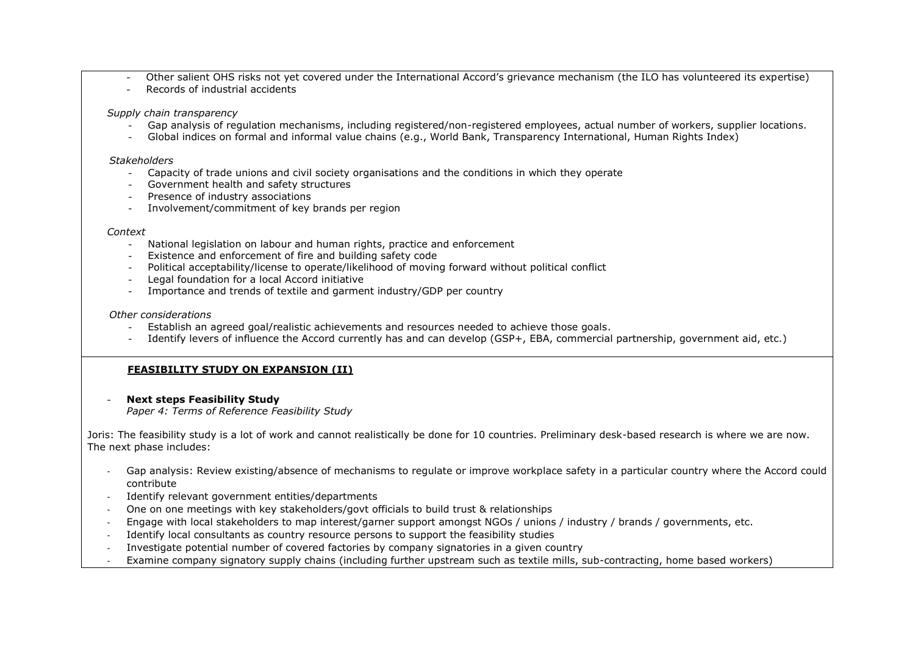- Other salient OHS risks not yet covered under the International Accord's grievance mechanism (the ILO has volunteered its expertise)
- Records of industrial accidents

*Supply chain transparency* 

- Gap analysis of regulation mechanisms, including registered/non-registered employees, actual number of workers, supplier locations.
- Global indices on formal and informal value chains (e.g., World Bank, Transparency International, Human Rights Index)

#### *Stakeholders*

- Capacity of trade unions and civil society organisations and the conditions in which they operate
- Government health and safety structures
- Presence of industry associations
- Involvement/commitment of key brands per region

#### *Context*

- National legislation on labour and human rights, practice and enforcement
- Existence and enforcement of fire and building safety code
- Political acceptability/license to operate/likelihood of moving forward without political conflict
- Legal foundation for a local Accord initiative
- Importance and trends of textile and garment industry/GDP per country

#### *Other considerations*

- Establish an agreed goal/realistic achievements and resources needed to achieve those goals.
- Identify levers of influence the Accord currently has and can develop (GSP+, EBA, commercial partnership, government aid, etc.)

## **FEASIBILITY STUDY ON EXPANSION (II)**

### **Next steps Feasibility Study**

*Paper 4: Terms of Reference Feasibility Study*

Joris: The feasibility study is a lot of work and cannot realistically be done for 10 countries. Preliminary desk-based research is where we are now. The next phase includes:

- Gap analysis: Review existing/absence of mechanisms to regulate or improve workplace safety in a particular country where the Accord could contribute
- Identify relevant government entities/departments
- One on one meetings with key stakeholders/govt officials to build trust & relationships
- Engage with local stakeholders to map interest/garner support amongst NGOs / unions / industry / brands / governments, etc.
- Identify local consultants as country resource persons to support the feasibility studies
- Investigate potential number of covered factories by company signatories in a given country
- Examine company signatory supply chains (including further upstream such as textile mills, sub-contracting, home based workers)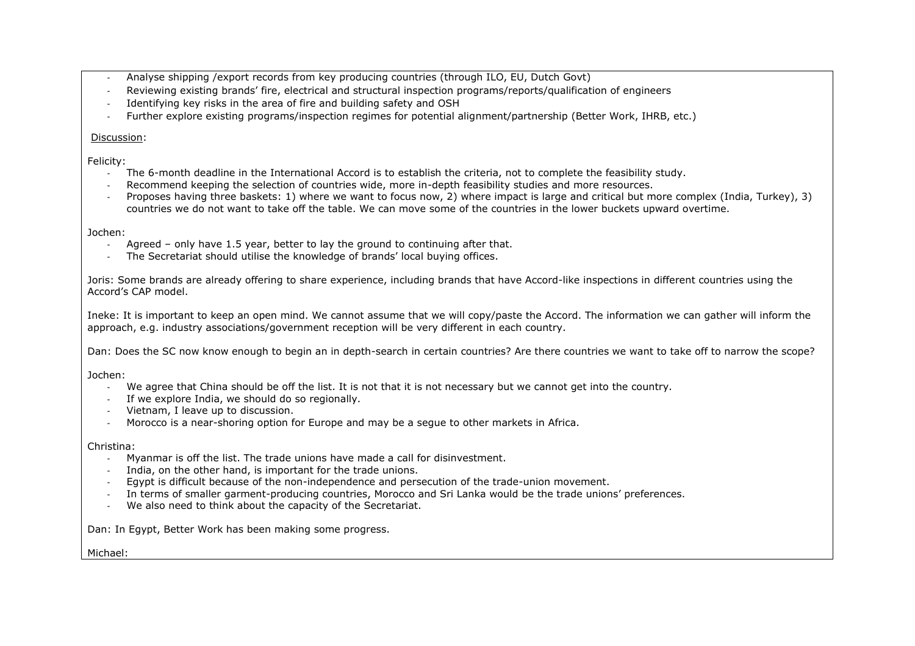- Analyse shipping /export records from key producing countries (through ILO, EU, Dutch Govt)
- Reviewing existing brands' fire, electrical and structural inspection programs/reports/qualification of engineers
- Identifying key risks in the area of fire and building safety and OSH
- Further explore existing programs/inspection regimes for potential alignment/partnership (Better Work, IHRB, etc.)

### Discussion:

Felicity:

- The 6-month deadline in the International Accord is to establish the criteria, not to complete the feasibility study.
- Recommend keeping the selection of countries wide, more in-depth feasibility studies and more resources.
- Proposes having three baskets: 1) where we want to focus now, 2) where impact is large and critical but more complex (India, Turkey), 3) countries we do not want to take off the table. We can move some of the countries in the lower buckets upward overtime.

Jochen:

- Agreed only have 1.5 year, better to lay the ground to continuing after that.
- The Secretariat should utilise the knowledge of brands' local buying offices.

Joris: Some brands are already offering to share experience, including brands that have Accord-like inspections in different countries using the Accord's CAP model.

Ineke: It is important to keep an open mind. We cannot assume that we will copy/paste the Accord. The information we can gather will inform the approach, e.g. industry associations/government reception will be very different in each country.

Dan: Does the SC now know enough to begin an in depth-search in certain countries? Are there countries we want to take off to narrow the scope?

Jochen:

- We agree that China should be off the list. It is not that it is not necessary but we cannot get into the country.
- If we explore India, we should do so regionally.
- Vietnam, I leave up to discussion.
- Morocco is a near-shoring option for Europe and may be a segue to other markets in Africa.

Christina:

- Myanmar is off the list. The trade unions have made a call for disinvestment.
- India, on the other hand, is important for the trade unions.
- Egypt is difficult because of the non-independence and persecution of the trade-union movement.
- In terms of smaller garment-producing countries, Morocco and Sri Lanka would be the trade unions' preferences.
- We also need to think about the capacity of the Secretariat.

Dan: In Egypt, Better Work has been making some progress.

Michael: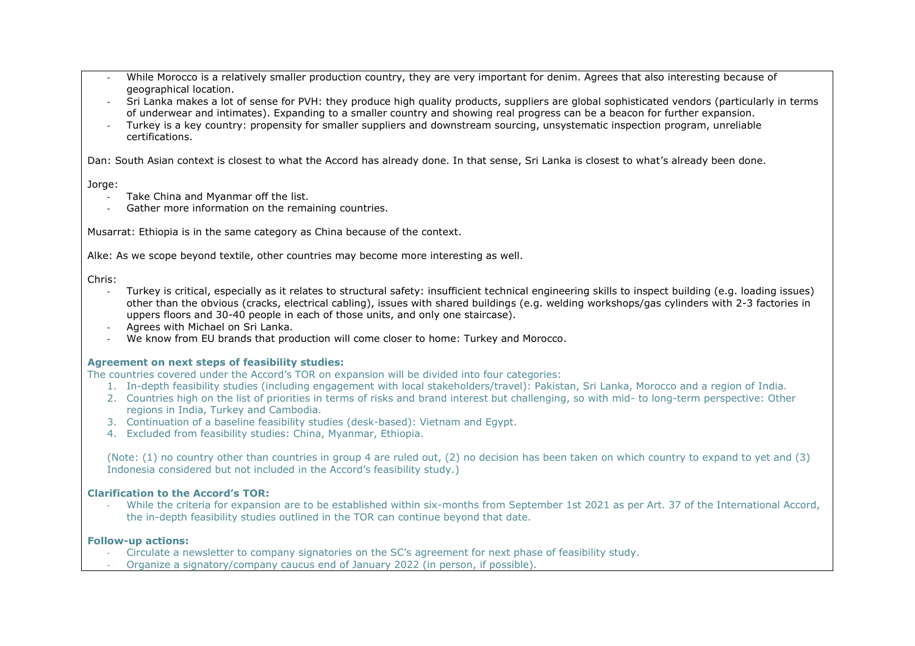- While Morocco is a relatively smaller production country, they are very important for denim. Agrees that also interesting because of geographical location.
- Sri Lanka makes a lot of sense for PVH: they produce high quality products, suppliers are global sophisticated vendors (particularly in terms of underwear and intimates). Expanding to a smaller country and showing real progress can be a beacon for further expansion.
- Turkey is a key country: propensity for smaller suppliers and downstream sourcing, unsystematic inspection program, unreliable certifications.

Dan: South Asian context is closest to what the Accord has already done. In that sense, Sri Lanka is closest to what's already been done.

### Jorge:

- Take China and Myanmar off the list.
- Gather more information on the remaining countries.

Musarrat: Ethiopia is in the same category as China because of the context.

Alke: As we scope beyond textile, other countries may become more interesting as well.

Chris:

- Turkey is critical, especially as it relates to structural safety: insufficient technical engineering skills to inspect building (e.g. loading issues) other than the obvious (cracks, electrical cabling), issues with shared buildings (e.g. welding workshops/gas cylinders with 2-3 factories in uppers floors and 30-40 people in each of those units, and only one staircase).
- Agrees with Michael on Sri Lanka.
- We know from EU brands that production will come closer to home: Turkey and Morocco.

## **Agreement on next steps of feasibility studies:**

The countries covered under the Accord's TOR on expansion will be divided into four categories:

- 1. In-depth feasibility studies (including engagement with local stakeholders/travel): Pakistan, Sri Lanka, Morocco and a region of India.
- 2. Countries high on the list of priorities in terms of risks and brand interest but challenging, so with mid- to long-term perspective: Other regions in India, Turkey and Cambodia.
- 3. Continuation of a baseline feasibility studies (desk-based): Vietnam and Egypt.
- 4. Excluded from feasibility studies: China, Myanmar, Ethiopia.

(Note: (1) no country other than countries in group 4 are ruled out, (2) no decision has been taken on which country to expand to yet and (3) Indonesia considered but not included in the Accord's feasibility study.)

## **Clarification to the Accord's TOR:**

- While the criteria for expansion are to be established within six-months from September 1st 2021 as per Art. 37 of the International Accord, the in-depth feasibility studies outlined in the TOR can continue beyond that date.

## **Follow-up actions:**

- Circulate a newsletter to company signatories on the SC's agreement for next phase of feasibility study.
- Organize a signatory/company caucus end of January 2022 (in person, if possible).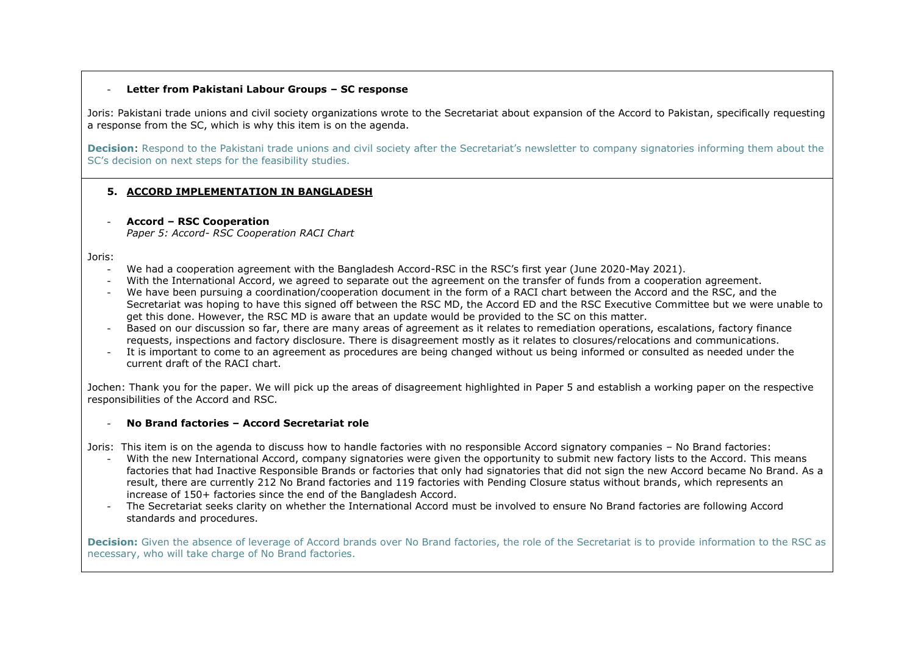#### - **Letter from Pakistani Labour Groups – SC response**

Joris: Pakistani trade unions and civil society organizations wrote to the Secretariat about expansion of the Accord to Pakistan, specifically requesting a response from the SC, which is why this item is on the agenda.

**Decision**: Respond to the Pakistani trade unions and civil society after the Secretariat's newsletter to company signatories informing them about the SC's decision on next steps for the feasibility studies.

### **5. ACCORD IMPLEMENTATION IN BANGLADESH**

- **Accord – RSC Cooperation**

*Paper 5: Accord- RSC Cooperation RACI Chart*

Joris:

- We had a cooperation agreement with the Bangladesh Accord-RSC in the RSC's first year (June 2020-May 2021).
- With the International Accord, we agreed to separate out the agreement on the transfer of funds from a cooperation agreement.
- We have been pursuing a coordination/cooperation document in the form of a RACI chart between the Accord and the RSC, and the Secretariat was hoping to have this signed off between the RSC MD, the Accord ED and the RSC Executive Committee but we were unable to get this done. However, the RSC MD is aware that an update would be provided to the SC on this matter.
- Based on our discussion so far, there are many areas of agreement as it relates to remediation operations, escalations, factory finance requests, inspections and factory disclosure. There is disagreement mostly as it relates to closures/relocations and communications.
- It is important to come to an agreement as procedures are being changed without us being informed or consulted as needed under the current draft of the RACI chart.

Jochen: Thank you for the paper. We will pick up the areas of disagreement highlighted in Paper 5 and establish a working paper on the respective responsibilities of the Accord and RSC.

### - **No Brand factories – Accord Secretariat role**

Joris: This item is on the agenda to discuss how to handle factories with no responsible Accord signatory companies – No Brand factories:

- With the new International Accord, company signatories were given the opportunity to submit new factory lists to the Accord. This means factories that had Inactive Responsible Brands or factories that only had signatories that did not sign the new Accord became No Brand. As a result, there are currently 212 No Brand factories and 119 factories with Pending Closure status without brands, which represents an increase of 150+ factories since the end of the Bangladesh Accord.
- The Secretariat seeks clarity on whether the International Accord must be involved to ensure No Brand factories are following Accord standards and procedures.

Decision: Given the absence of leverage of Accord brands over No Brand factories, the role of the Secretariat is to provide information to the RSC as necessary, who will take charge of No Brand factories.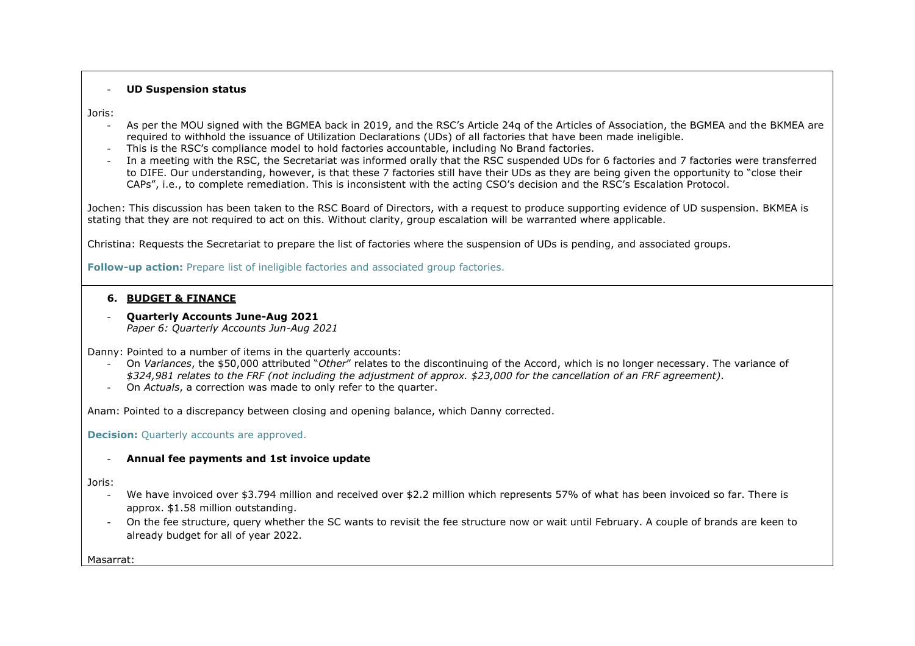#### - **UD Suspension status**

Joris:

- As per the MOU signed with the BGMEA back in 2019, and the RSC's Article 24q of the Articles of Association, the BGMEA and the BKMEA are required to withhold the issuance of Utilization Declarations (UDs) of all factories that have been made ineligible.
- This is the RSC's compliance model to hold factories accountable, including No Brand factories.
- In a meeting with the RSC, the Secretariat was informed orally that the RSC suspended UDs for 6 factories and 7 factories were transferred to DIFE. Our understanding, however, is that these 7 factories still have their UDs as they are being given the opportunity to "close their CAPs", i.e., to complete remediation. This is inconsistent with the acting CSO's decision and the RSC's Escalation Protocol.

Jochen: This discussion has been taken to the RSC Board of Directors, with a request to produce supporting evidence of UD suspension. BKMEA is stating that they are not required to act on this. Without clarity, group escalation will be warranted where applicable.

Christina: Requests the Secretariat to prepare the list of factories where the suspension of UDs is pending, and associated groups.

**Follow-up action:** Prepare list of ineligible factories and associated group factories.

## **6. BUDGET & FINANCE**

- **Quarterly Accounts June-Aug 2021** *Paper 6: Quarterly Accounts Jun-Aug 2021*

- Danny: Pointed to a number of items in the quarterly accounts:
	- On *Variances*, the \$50,000 attributed "*Other*" relates to the discontinuing of the Accord, which is no longer necessary. The variance of *\$324,981 relates to the FRF (not including the adjustment of approx. \$23,000 for the cancellation of an FRF agreement).*
	- On *Actuals*, a correction was made to only refer to the quarter.

Anam: Pointed to a discrepancy between closing and opening balance, which Danny corrected.

**Decision:** Ouarterly accounts are approved.

### - **Annual fee payments and 1st invoice update**

Joris:

- We have invoiced over \$3.794 million and received over \$2.2 million which represents 57% of what has been invoiced so far. There is approx. \$1.58 million outstanding.
- On the fee structure, query whether the SC wants to revisit the fee structure now or wait until February. A couple of brands are keen to already budget for all of year 2022.

Masarrat: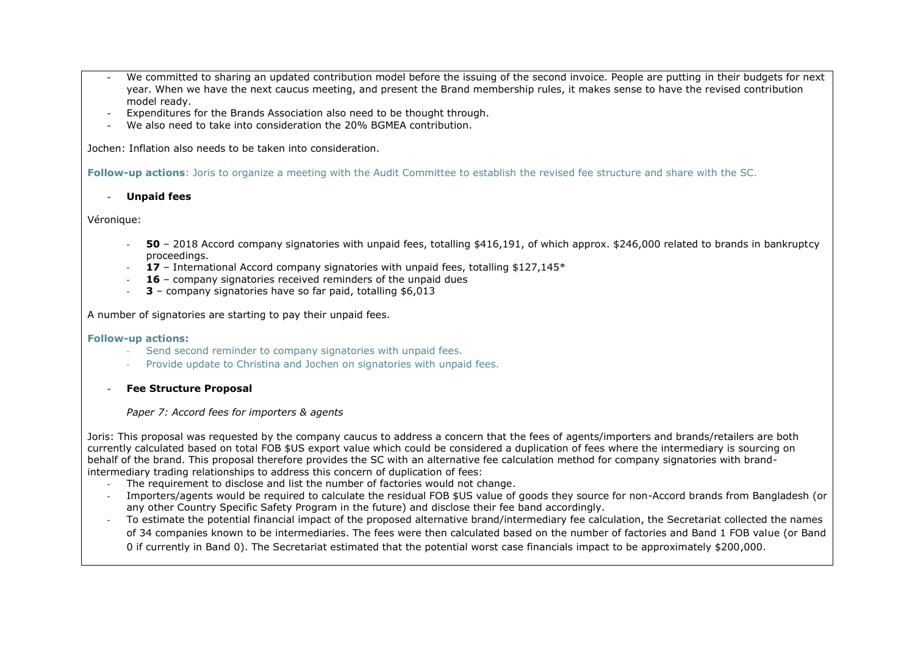- We committed to sharing an updated contribution model before the issuing of the second invoice. People are putting in their budgets for next year. When we have the next caucus meeting, and present the Brand membership rules, it makes sense to have the revised contribution model ready.
- Expenditures for the Brands Association also need to be thought through.
- We also need to take into consideration the 20% BGMEA contribution.

Jochen: Inflation also needs to be taken into consideration.

**Follow-up actions**: Joris to organize a meeting with the Audit Committee to establish the revised fee structure and share with the SC.

- **Unpaid fees**

Véronique:

- **50** 2018 Accord company signatories with unpaid fees, totalling \$416,191, of which approx. \$246,000 related to brands in bankruptcy proceedings.
- 17 International Accord company signatories with unpaid fees, totalling \$127,145<sup>\*</sup>
- 16 company signatories received reminders of the unpaid dues
- **3** company signatories have so far paid, totalling \$6,013

A number of signatories are starting to pay their unpaid fees.

#### **Follow-up actions:**

- Send second reminder to company signatories with unpaid fees.
- Provide update to Christina and Jochen on signatories with unpaid fees.
- **Fee Structure Proposal**

### *Paper 7: Accord fees for importers & agents*

Joris: This proposal was requested by the company caucus to address a concern that the fees of agents/importers and brands/retailers are both currently calculated based on total FOB \$US export value which could be considered a duplication of fees where the intermediary is sourcing on behalf of the brand. This proposal therefore provides the SC with an alternative fee calculation method for company signatories with brandintermediary trading relationships to address this concern of duplication of fees:

- The requirement to disclose and list the number of factories would not change.
- Importers/agents would be required to calculate the residual FOB \$US value of goods they source for non-Accord brands from Bangladesh (or any other Country Specific Safety Program in the future) and disclose their fee band accordingly.
- To estimate the potential financial impact of the proposed alternative brand/intermediary fee calculation, the Secretariat collected the names of 34 companies known to be intermediaries. The fees were then calculated based on the number of factories and Band 1 FOB value (or Band 0 if currently in Band 0). The Secretariat estimated that the potential worst case financials impact to be approximately \$200,000.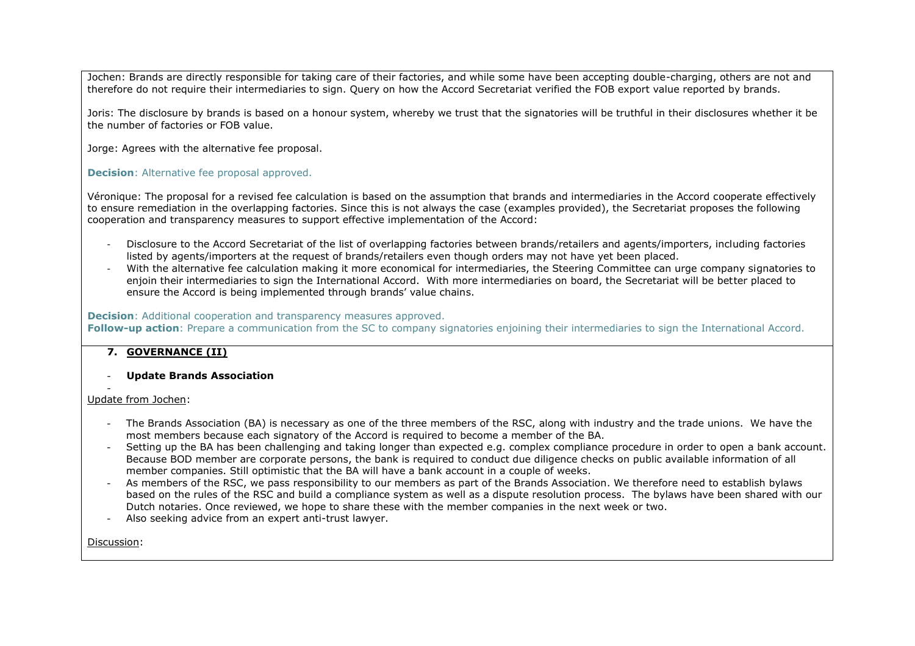Jochen: Brands are directly responsible for taking care of their factories, and while some have been accepting double-charging, others are not and therefore do not require their intermediaries to sign. Query on how the Accord Secretariat verified the FOB export value reported by brands.

Joris: The disclosure by brands is based on a honour system, whereby we trust that the signatories will be truthful in their disclosures whether it be the number of factories or FOB value.

Jorge: Agrees with the alternative fee proposal.

### **Decision**: Alternative fee proposal approved.

Véronique: The proposal for a revised fee calculation is based on the assumption that brands and intermediaries in the Accord cooperate effectively to ensure remediation in the overlapping factories. Since this is not always the case (examples provided), the Secretariat proposes the following cooperation and transparency measures to support effective implementation of the Accord:

- Disclosure to the Accord Secretariat of the list of overlapping factories between brands/retailers and agents/importers, including factories listed by agents/importers at the request of brands/retailers even though orders may not have yet been placed.
- With the alternative fee calculation making it more economical for intermediaries, the Steering Committee can urge company signatories to enjoin their intermediaries to sign the International Accord. With more intermediaries on board, the Secretariat will be better placed to ensure the Accord is being implemented through brands' value chains.

#### **Decision**: Additional cooperation and transparency measures approved.

**Follow-up action**: Prepare a communication from the SC to company signatories enjoining their intermediaries to sign the International Accord.

## **7. GOVERNANCE (II)**

#### - **Update Brands Association**

#### - Update from Jochen:

- The Brands Association (BA) is necessary as one of the three members of the RSC, along with industry and the trade unions. We have the most members because each signatory of the Accord is required to become a member of the BA.
- Setting up the BA has been challenging and taking longer than expected e.g. complex compliance procedure in order to open a bank account. Because BOD member are corporate persons, the bank is required to conduct due diligence checks on public available information of all member companies. Still optimistic that the BA will have a bank account in a couple of weeks.
- As members of the RSC, we pass responsibility to our members as part of the Brands Association. We therefore need to establish bylaws based on the rules of the RSC and build a compliance system as well as a dispute resolution process. The bylaws have been shared with our Dutch notaries. Once reviewed, we hope to share these with the member companies in the next week or two.
- Also seeking advice from an expert anti-trust lawyer.

Discussion: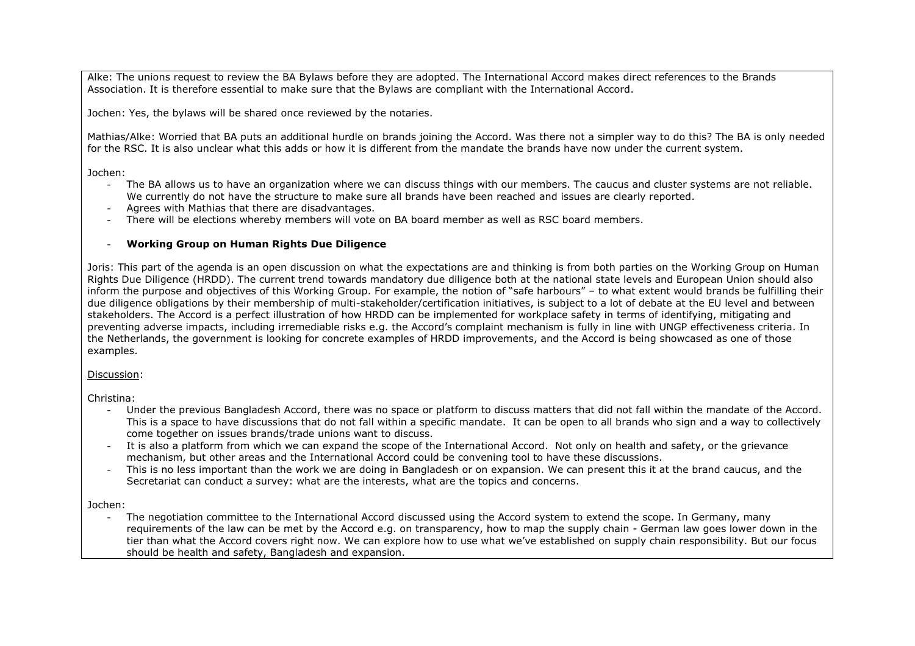Alke: The unions request to review the BA Bylaws before they are adopted. The International Accord makes direct references to the Brands Association. It is therefore essential to make sure that the Bylaws are compliant with the International Accord.

Jochen: Yes, the bylaws will be shared once reviewed by the notaries.

Mathias/Alke: Worried that BA puts an additional hurdle on brands joining the Accord. Was there not a simpler way to do this? The BA is only needed for the RSC. It is also unclear what this adds or how it is different from the mandate the brands have now under the current system.

Jochen:

- The BA allows us to have an organization where we can discuss things with our members. The caucus and cluster systems are not reliable. We currently do not have the structure to make sure all brands have been reached and issues are clearly reported.
- Agrees with Mathias that there are disadvantages.
- There will be elections whereby members will vote on BA board member as well as RSC board members.

#### - **Working Group on Human Rights Due Diligence**

Joris: This part of the agenda is an open discussion on what the expectations are and thinking is from both parties on the Working Group on Human Rights Due Diligence (HRDD). The current trend towards mandatory due diligence both at the national state levels and European Union should also inform the purpose and objectives of this Working Group. For example, the notion of "safe harbours" – to what extent would brands be fulfilling their due diligence obligations by their membership of multi-stakeholder/certification initiatives, is subject to a lot of debate at the EU level and between stakeholders. The Accord is a perfect illustration of how HRDD can be implemented for workplace safety in terms of identifying, mitigating and preventing adverse impacts, including irremediable risks e.g. the Accord's complaint mechanism is fully in line with UNGP effectiveness criteria. In the Netherlands, the government is looking for concrete examples of HRDD improvements, and the Accord is being showcased as one of those examples.

Discussion:

Christina:

- Under the previous Bangladesh Accord, there was no space or platform to discuss matters that did not fall within the mandate of the Accord. This is a space to have discussions that do not fall within a specific mandate. It can be open to all brands who sign and a way to collectively come together on issues brands/trade unions want to discuss.
- It is also a platform from which we can expand the scope of the International Accord. Not only on health and safety, or the grievance mechanism, but other areas and the International Accord could be convening tool to have these discussions.
- This is no less important than the work we are doing in Bangladesh or on expansion. We can present this it at the brand caucus, and the Secretariat can conduct a survey: what are the interests, what are the topics and concerns.

Jochen:

The negotiation committee to the International Accord discussed using the Accord system to extend the scope. In Germany, many requirements of the law can be met by the Accord e.g. on transparency, how to map the supply chain - German law goes lower down in the tier than what the Accord covers right now. We can explore how to use what we've established on supply chain responsibility. But our focus should be health and safety, Bangladesh and expansion.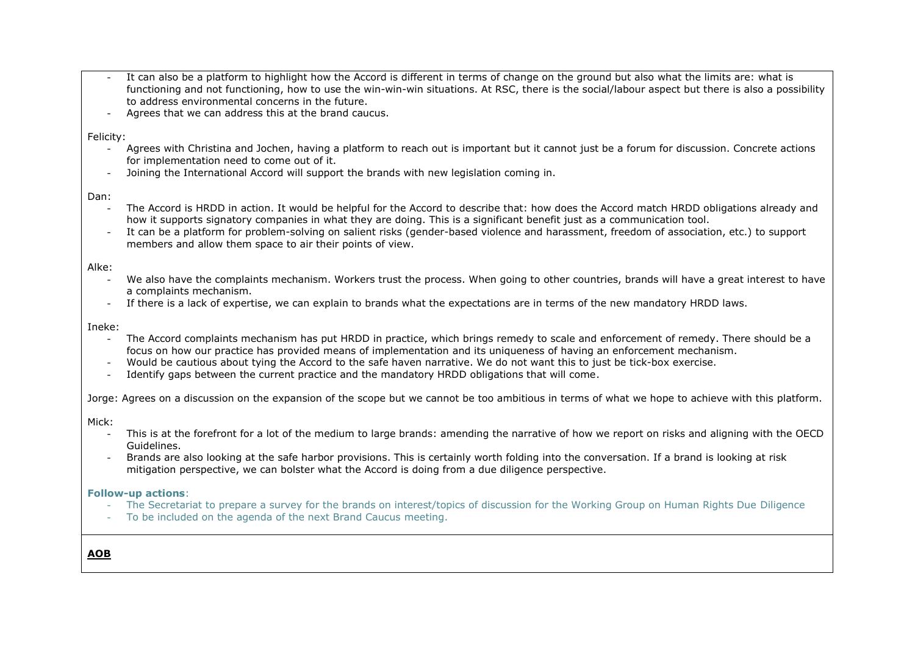- It can also be a platform to highlight how the Accord is different in terms of change on the ground but also what the limits are: what is functioning and not functioning, how to use the win-win-win situations. At RSC, there is the social/labour aspect but there is also a possibility to address environmental concerns in the future.
- Agrees that we can address this at the brand caucus.

Felicity:

- Agrees with Christina and Jochen, having a platform to reach out is important but it cannot just be a forum for discussion. Concrete actions for implementation need to come out of it.
- Joining the International Accord will support the brands with new legislation coming in.

Dan:

- The Accord is HRDD in action. It would be helpful for the Accord to describe that: how does the Accord match HRDD obligations already and how it supports signatory companies in what they are doing. This is a significant benefit just as a communication tool.
- It can be a platform for problem-solving on salient risks (gender-based violence and harassment, freedom of association, etc.) to support members and allow them space to air their points of view.

Alke:

- We also have the complaints mechanism. Workers trust the process. When going to other countries, brands will have a great interest to have a complaints mechanism.
- If there is a lack of expertise, we can explain to brands what the expectations are in terms of the new mandatory HRDD laws.

Ineke:

- The Accord complaints mechanism has put HRDD in practice, which brings remedy to scale and enforcement of remedy. There should be a focus on how our practice has provided means of implementation and its uniqueness of having an enforcement mechanism.
- Would be cautious about tying the Accord to the safe haven narrative. We do not want this to just be tick-box exercise.
- Identify gaps between the current practice and the mandatory HRDD obligations that will come.

Jorge: Agrees on a discussion on the expansion of the scope but we cannot be too ambitious in terms of what we hope to achieve with this platform.

Mick:

- This is at the forefront for a lot of the medium to large brands: amending the narrative of how we report on risks and aligning with the OECD Guidelines.
- Brands are also looking at the safe harbor provisions. This is certainly worth folding into the conversation. If a brand is looking at risk mitigation perspective, we can bolster what the Accord is doing from a due diligence perspective.

**Follow-up actions**:

- The Secretariat to prepare a survey for the brands on interest/topics of discussion for the Working Group on Human Rights Due Diligence
- To be included on the agenda of the next Brand Caucus meeting.

**AOB**